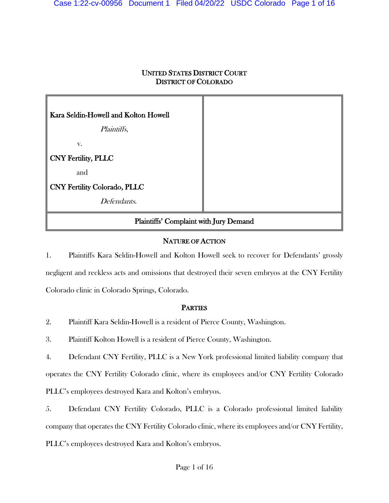# UNITED STATES DISTRICT COURT DISTRICT OF COLORADO

| Kara Seldin-Howell and Kolton Howell   |  |
|----------------------------------------|--|
| Plaintiffs,                            |  |
| V.                                     |  |
| CNY Fertility, PLLC                    |  |
| and                                    |  |
| CNY Fertility Colorado, PLLC           |  |
| Defendants.                            |  |
| Plaintiffs' Complaint with Jury Demand |  |

# NATURE OF ACTION

1. Plaintiffs Kara Seldin-Howell and Kolton Howell seek to recover for Defendants' grossly negligent and reckless acts and omissions that destroyed their seven embryos at the CNY Fertility Colorado clinic in Colorado Springs, Colorado.

# **PARTIES**

2. Plaintiff Kara Seldin-Howell is a resident of Pierce County, Washington.

3. Plaintiff Kolton Howell is a resident of Pierce County, Washington.

4. Defendant CNY Fertility, PLLC is a New York professional limited liability company that operates the CNY Fertility Colorado clinic, where its employees and/or CNY Fertility Colorado PLLC's employees destroyed Kara and Kolton's embryos.

5. Defendant CNY Fertility Colorado, PLLC is a Colorado professional limited liability company that operates the CNY Fertility Colorado clinic, where its employees and/or CNY Fertility, PLLC's employees destroyed Kara and Kolton's embryos.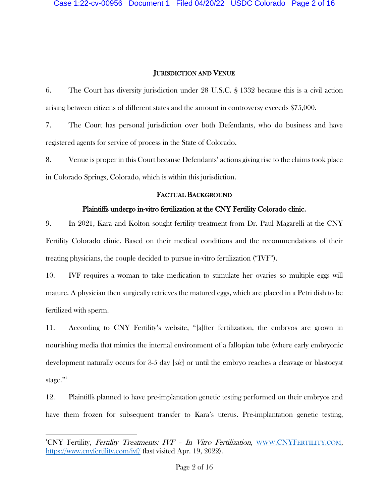### JURISDICTION AND VENUE

6. The Court has diversity jurisdiction under 28 U.S.C. § 1332 because this is a civil action arising between citizens of different states and the amount in controversy exceeds \$75,000.

7. The Court has personal jurisdiction over both Defendants, who do business and have registered agents for service of process in the State of Colorado.

8. Venue is proper in this Court because Defendants' actions giving rise to the claims took place in Colorado Springs, Colorado, which is within this jurisdiction.

### FACTUAL BACKGROUND

### Plaintiffs undergo in-vitro fertilization at the CNY Fertility Colorado clinic.

9. In 2021, Kara and Kolton sought fertility treatment from Dr. Paul Magarelli at the CNY Fertility Colorado clinic. Based on their medical conditions and the recommendations of their treating physicians, the couple decided to pursue in-vitro fertilization ("IVF").

10. IVF requires a woman to take medication to stimulate her ovaries so multiple eggs will mature. A physician then surgically retrieves the matured eggs, which are placed in a Petri dish to be fertilized with sperm.

11. According to CNY Fertility's website, "[a]fter fertilization, the embryos are grown in nourishing media that mimics the internal environment of a fallopian tube (where early embryonic development naturally occurs for 3-5 day [sic] or until the embryo reaches a cleavage or blastocyst stage." $\cdot$ "

12. Plaintiffs planned to have pre-implantation genetic testing performed on their embryos and have them frozen for subsequent transfer to Kara's uterus. Pre-implantation genetic testing,

<span id="page-1-0"></span><sup>&</sup>lt;sup>1</sup>CNY Fertility, *Fertility Treatments: IVF - In Vitro Fertilization*, *WWW.CNYFERTILITY.COM*, <https://www.cnyfertility.com/ivf/> (last visited Apr. 19, 2022).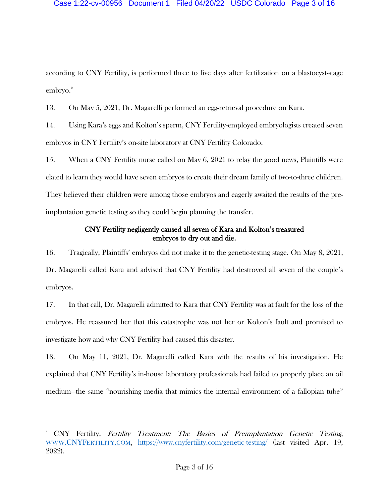#### Case 1:22-cv-00956 Document 1 Filed 04/20/22 USDC Colorado Page 3 of 16

according to CNY Fertility, is performed three to five days after fertilization on a blastocyst-stage embryo.<sup>[2](#page-2-0)</sup>

13. On May 5, 2021, Dr. Magarelli performed an egg-retrieval procedure on Kara.

14. Using Kara's eggs and Kolton's sperm, CNY Fertility-employed embryologists created seven embryos in CNY Fertility's on-site laboratory at CNY Fertility Colorado.

15. When a CNY Fertility nurse called on May 6, 2021 to relay the good news, Plaintiffs were elated to learn they would have seven embryos to create their dream family of two-to-three children. They believed their children were among those embryos and eagerly awaited the results of the preimplantation genetic testing so they could begin planning the transfer.

## CNY Fertility negligently caused all seven of Kara and Kolton's treasured embryos to dry out and die.

16. Tragically, Plaintiffs' embryos did not make it to the genetic-testing stage. On May 8, 2021, Dr. Magarelli called Kara and advised that CNY Fertility had destroyed all seven of the couple's embryos.

17. In that call, Dr. Magarelli admitted to Kara that CNY Fertility was at fault for the loss of the embryos. He reassured her that this catastrophe was not her or Kolton's fault and promised to investigate how and why CNY Fertility had caused this disaster.

18. On May 11, 2021, Dr. Magarelli called Kara with the results of his investigation. He explained that CNY Fertility's in-house laboratory professionals had failed to properly place an oil medium—the same "nourishing media that mimics the internal environment of a fallopian tube"

<span id="page-2-0"></span><sup>2</sup> CNY Fertility, Fertility Treatment: The Basics of Preimplantation Genetic Testing, [WWW.CNYFERTILITY.COM,](http://www.cnyfertility.com/) <https://www.cnyfertility.com/genetic-testing/> (last visited Apr. 19, 2022).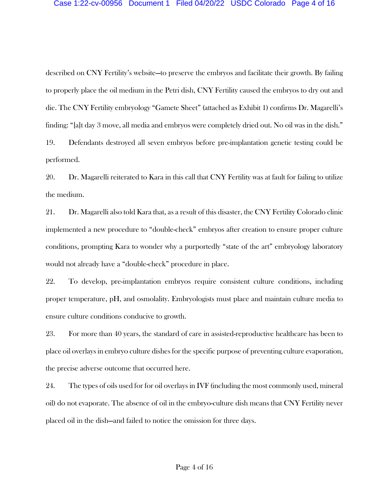### Case 1:22-cv-00956 Document 1 Filed 04/20/22 USDC Colorado Page 4 of 16

described on CNY Fertility's website—to preserve the embryos and facilitate their growth. By failing to properly place the oil medium in the Petri dish, CNY Fertility caused the embryos to dry out and die. The CNY Fertility embryology "Gamete Sheet" (attached as Exhibit 1) confirms Dr. Magarelli's finding: "[a]t day 3 move, all media and embryos were completely dried out. No oil was in the dish."

19. Defendants destroyed all seven embryos before pre-implantation genetic testing could be performed.

20. Dr. Magarelli reiterated to Kara in this call that CNY Fertility was at fault for failing to utilize the medium.

21. Dr. Magarelli also told Kara that, as a result of this disaster, the CNY Fertility Colorado clinic implemented a new procedure to "double-check" embryos after creation to ensure proper culture conditions, prompting Kara to wonder why a purportedly "state of the art" embryology laboratory would not already have a "double-check" procedure in place.

22. To develop, pre-implantation embryos require consistent culture conditions, including proper temperature, pH, and osmolality. Embryologists must place and maintain culture media to ensure culture conditions conducive to growth.

23. For more than 40 years, the standard of care in assisted-reproductive healthcare has been to place oil overlays in embryo culture dishes for the specific purpose of preventing culture evaporation, the precise adverse outcome that occurred here.

24. The types of oils used for for oil overlays in IVF (including the most commonly used, mineral oil) do not evaporate. The absence of oil in the embryo-culture dish means that CNY Fertility never placed oil in the dish—and failed to notice the omission for three days.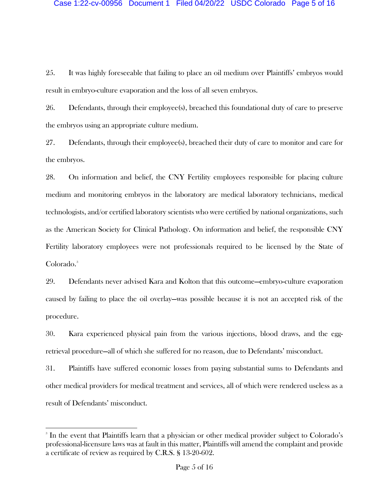25. It was highly foreseeable that failing to place an oil medium over Plaintiffs' embryos would result in embryo-culture evaporation and the loss of all seven embryos.

26. Defendants, through their employee(s), breached this foundational duty of care to preserve the embryos using an appropriate culture medium.

27. Defendants, through their employee(s), breached their duty of care to monitor and care for the embryos.

28. On information and belief, the CNY Fertility employees responsible for placing culture medium and monitoring embryos in the laboratory are medical laboratory technicians, medical technologists, and/or certified laboratory scientists who were certified by national organizations, such as the American Society for Clinical Pathology. On information and belief, the responsible CNY Fertility laboratory employees were not professionals required to be licensed by the State of Colorado.<sup>[3](#page-4-0)</sup>

29. Defendants never advised Kara and Kolton that this outcome—embryo-culture evaporation caused by failing to place the oil overlay—was possible because it is not an accepted risk of the procedure.

30. Kara experienced physical pain from the various injections, blood draws, and the eggretrieval procedure—all of which she suffered for no reason, due to Defendants' misconduct.

31. Plaintiffs have suffered economic losses from paying substantial sums to Defendants and other medical providers for medical treatment and services, all of which were rendered useless as a result of Defendants' misconduct.

<span id="page-4-0"></span><sup>&</sup>lt;sup>3</sup> In the event that Plaintiffs learn that a physician or other medical provider subject to Colorado's professional-licensure laws was at fault in this matter, Plaintiffs will amend the complaint and provide a certificate of review as required by C.R.S. § 13-20-602.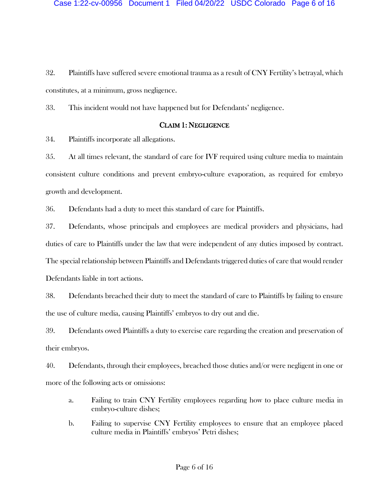32. Plaintiffs have suffered severe emotional trauma as a result of CNY Fertility's betrayal, which constitutes, at a minimum, gross negligence.

33. This incident would not have happened but for Defendants' negligence.

## CLAIM 1: NEGLIGENCE

34. Plaintiffs incorporate all allegations.

35. At all times relevant, the standard of care for IVF required using culture media to maintain consistent culture conditions and prevent embryo-culture evaporation, as required for embryo growth and development.

36. Defendants had a duty to meet this standard of care for Plaintiffs.

37. Defendants, whose principals and employees are medical providers and physicians, had duties of care to Plaintiffs under the law that were independent of any duties imposed by contract. The special relationship between Plaintiffs and Defendants triggered duties of care that would render Defendants liable in tort actions.

38. Defendants breached their duty to meet the standard of care to Plaintiffs by failing to ensure the use of culture media, causing Plaintiffs' embryos to dry out and die.

39. Defendants owed Plaintiffs a duty to exercise care regarding the creation and preservation of their embryos.

40. Defendants, through their employees, breached those duties and/or were negligent in one or more of the following acts or omissions:

- a. Failing to train CNY Fertility employees regarding how to place culture media in embryo-culture dishes;
- b. Failing to supervise CNY Fertility employees to ensure that an employee placed culture media in Plaintiffs' embryos' Petri dishes;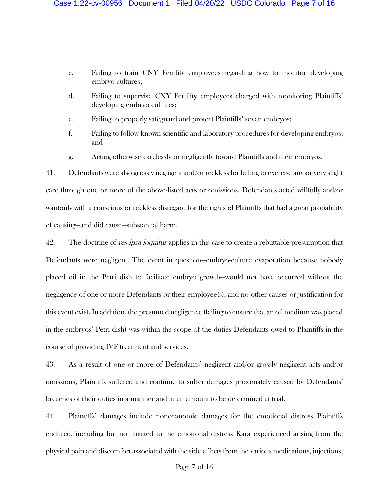- c. Failing to train CNY Fertility employees regarding how to monitor developing embryo cultures;
- d. Failing to supervise CNY Fertility employees charged with monitoring Plaintiffs' developing embryo cultures;
- e. Failing to properly safeguard and protect Plaintiffs' seven embryos;
- f. Failing to follow known scientific and laboratory procedures for developing embryos; and
- g. Acting otherwise carelessly or negligently toward Plaintiffs and their embryos.

41. Defendants were also grossly negligent and/or reckless for failing to exercise any or very slight care through one or more of the above-listed acts or omissions. Defendants acted willfully and/or wantonly with a conscious or reckless disregard for the rights of Plaintiffs that had a great probability of causing—and did cause—substantial harm.

42. The doctrine of *res ipsa loquitur* applies in this case to create a rebuttable presumption that Defendants were negligent. The event in question—embryo-culture evaporation because nobody placed oil in the Petri dish to facilitate embryo growth—would not have occurred without the negligence of one or more Defendants or their employee(s), and no other causes or justification for this event exist. In addition, the presumed negligence (failing to ensure that an oil medium was placed in the embryos' Petri dish) was within the scope of the duties Defendants owed to Plaintiffs in the course of providing IVF treatment and services.

43. As a result of one or more of Defendants' negligent and/or grossly negligent acts and/or omissions, Plaintiffs suffered and continue to suffer damages proximately caused by Defendants' breaches of their duties in a manner and in an amount to be determined at trial.

44. Plaintiffs' damages include noneconomic damages for the emotional distress Plaintiffs endured, including but not limited to the emotional distress Kara experienced arising from the physical pain and discomfort associated with the side effects from the various medications, injections,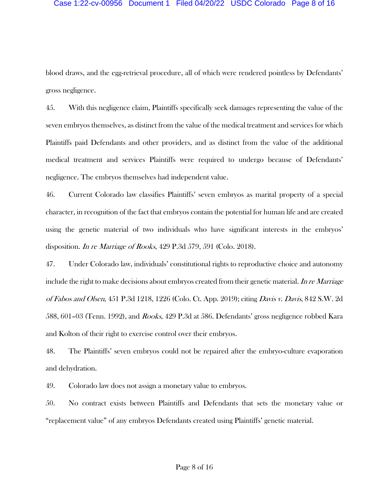#### Case 1:22-cv-00956 Document 1 Filed 04/20/22 USDC Colorado Page 8 of 16

blood draws, and the egg-retrieval procedure, all of which were rendered pointless by Defendants' gross negligence.

45. With this negligence claim, Plaintiffs specifically seek damages representing the value of the seven embryos themselves, as distinct from the value of the medical treatment and services for which Plaintiffs paid Defendants and other providers, and as distinct from the value of the additional medical treatment and services Plaintiffs were required to undergo because of Defendants' negligence. The embryos themselves had independent value.

46. Current Colorado law classifies Plaintiffs' seven embryos as marital property of a special character, in recognition of the fact that embryos contain the potential for human life and are created using the genetic material of two individuals who have significant interests in the embryos' disposition. *In re Marriage of Rooks*, 429 P.3d 579, 591 (Colo. 2018).

47. Under Colorado law, individuals' constitutional rights to reproductive choice and autonomy include the right to make decisions about embryos created from their genetic material. In re Marriage of Fabos and Olsen, 451 P.3d 1218, 1226 (Colo. Ct. App. 2019); citing Davis v. Davis, 842 S.W. 2d 588, 601–03 (Tenn. 1992), and *Rooks*, 429 P.3d at 586. Defendants' gross negligence robbed Kara and Kolton of their right to exercise control over their embryos.

48. The Plaintiffs' seven embryos could not be repaired after the embryo-culture evaporation and dehydration.

49. Colorado law does not assign a monetary value to embryos.

50. No contract exists between Plaintiffs and Defendants that sets the monetary value or "replacement value" of any embryos Defendants created using Plaintiffs' genetic material.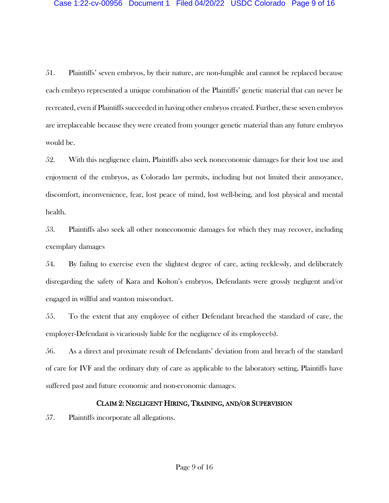51. Plaintiffs' seven embryos, by their nature, are non-fungible and cannot be replaced because each embryo represented a unique combination of the Plaintiffs' genetic material that can never be recreated, even if Plaintiffs succeeded in having other embryos created. Further, these seven embryos are irreplaceable because they were created from younger genetic material than any future embryos would be.

52. With this negligence claim, Plaintiffs also seek noneconomic damages for their lost use and enjoyment of the embryos, as Colorado law permits, including but not limited their annoyance, discomfort, inconvenience, fear, lost peace of mind, lost well-being, and lost physical and mental health.

53. Plaintiffs also seek all other noneconomic damages for which they may recover, including exemplary damages

54. By failing to exercise even the slightest degree of care, acting recklessly, and deliberately disregarding the safety of Kara and Kolton's embryos, Defendants were grossly negligent and/or engaged in willful and wanton misconduct.

55. To the extent that any employee of either Defendant breached the standard of care, the employer-Defendant is vicariously liable for the negligence of its employee(s).

56. As a direct and proximate result of Defendants' deviation from and breach of the standard of care for IVF and the ordinary duty of care as applicable to the laboratory setting, Plaintiffs have suffered past and future economic and non-economic damages.

### CLAIM 2: NEGLIGENT HIRING, TRAINING, AND/OR SUPERVISION

57. Plaintiffs incorporate all allegations.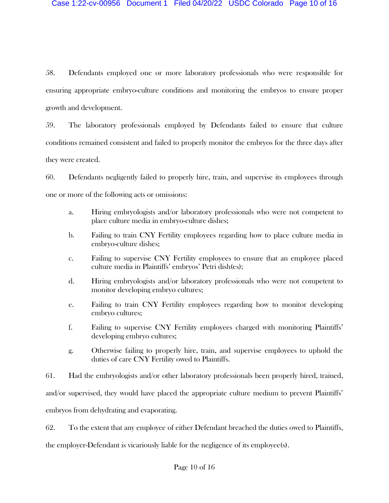58. Defendants employed one or more laboratory professionals who were responsible for ensuring appropriate embryo-culture conditions and monitoring the embryos to ensure proper growth and development.

59. The laboratory professionals employed by Defendants failed to ensure that culture conditions remained consistent and failed to properly monitor the embryos for the three days after they were created.

60. Defendants negligently failed to properly hire, train, and supervise its employees through one or more of the following acts or omissions:

- a. Hiring embryologists and/or laboratory professionals who were not competent to place culture media in embryo-culture dishes;
- b. Failing to train CNY Fertility employees regarding how to place culture media in embryo-culture dishes;
- c. Failing to supervise CNY Fertility employees to ensure that an employee placed culture media in Plaintiffs' embryos' Petri dish(es);
- d. Hiring embryologists and/or laboratory professionals who were not competent to monitor developing embryo cultures;
- e. Failing to train CNY Fertility employees regarding how to monitor developing embryo cultures;
- f. Failing to supervise CNY Fertility employees charged with monitoring Plaintiffs' developing embryo cultures;
- g. Otherwise failing to properly hire, train, and supervise employees to uphold the duties of care CNY Fertility owed to Plaintiffs.

61. Had the embryologists and/or other laboratory professionals been properly hired, trained, and/or supervised, they would have placed the appropriate culture medium to prevent Plaintiffs' embryos from dehydrating and evaporating.

62. To the extent that any employee of either Defendant breached the duties owed to Plaintiffs,

the employer-Defendant is vicariously liable for the negligence of its employee(s).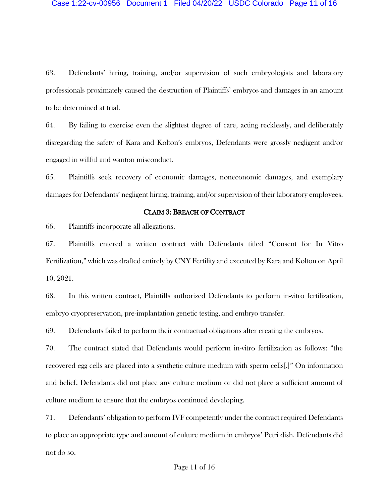63. Defendants' hiring, training, and/or supervision of such embryologists and laboratory professionals proximately caused the destruction of Plaintiffs' embryos and damages in an amount to be determined at trial.

64. By failing to exercise even the slightest degree of care, acting recklessly, and deliberately disregarding the safety of Kara and Kolton's embryos, Defendants were grossly negligent and/or engaged in willful and wanton misconduct.

65. Plaintiffs seek recovery of economic damages, noneconomic damages, and exemplary damages for Defendants' negligent hiring, training, and/or supervision of their laboratory employees.

#### CLAIM 3: BREACH OF CONTRACT

66. Plaintiffs incorporate all allegations.

67. Plaintiffs entered a written contract with Defendants titled "Consent for In Vitro Fertilization," which was drafted entirely by CNY Fertility and executed by Kara and Kolton on April 10, 2021.

68. In this written contract, Plaintiffs authorized Defendants to perform in-vitro fertilization, embryo cryopreservation, pre-implantation genetic testing, and embryo transfer.

69. Defendants failed to perform their contractual obligations after creating the embryos.

70. The contract stated that Defendants would perform in-vitro fertilization as follows: "the recovered egg cells are placed into a synthetic culture medium with sperm cells[.]" On information and belief, Defendants did not place any culture medium or did not place a sufficient amount of culture medium to ensure that the embryos continued developing.

71. Defendants' obligation to perform IVF competently under the contract required Defendants to place an appropriate type and amount of culture medium in embryos' Petri dish. Defendants did not do so.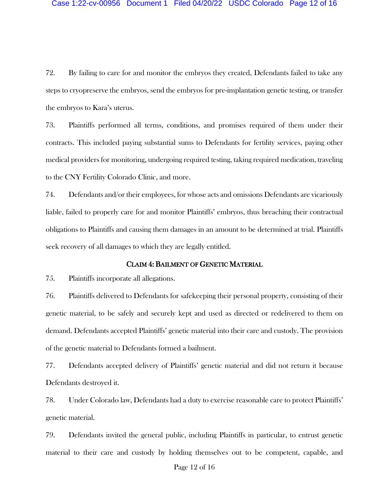72. By failing to care for and monitor the embryos they created, Defendants failed to take any steps to cryopreserve the embryos, send the embryos for pre-implantation genetic testing, or transfer the embryos to Kara's uterus.

73. Plaintiffs performed all terms, conditions, and promises required of them under their contracts. This included paying substantial sums to Defendants for fertility services, paying other medical providers for monitoring, undergoing required testing, taking required medication, traveling to the CNY Fertility Colorado Clinic, and more.

74. Defendants and/or their employees, for whose acts and omissions Defendants are vicariously liable, failed to properly care for and monitor Plaintiffs' embryos, thus breaching their contractual obligations to Plaintiffs and causing them damages in an amount to be determined at trial. Plaintiffs seek recovery of all damages to which they are legally entitled.

#### CLAIM 4: BAILMENT OF GENETIC MATERIAL

75. Plaintiffs incorporate all allegations.

76. Plaintiffs delivered to Defendants for safekeeping their personal property, consisting of their genetic material, to be safely and securely kept and used as directed or redelivered to them on demand. Defendants accepted Plaintiffs' genetic material into their care and custody. The provision of the genetic material to Defendants formed a bailment.

77. Defendants accepted delivery of Plaintiffs' genetic material and did not return it because Defendants destroyed it.

78. Under Colorado law, Defendants had a duty to exercise reasonable care to protect Plaintiffs' genetic material.

79. Defendants invited the general public, including Plaintiffs in particular, to entrust genetic material to their care and custody by holding themselves out to be competent, capable, and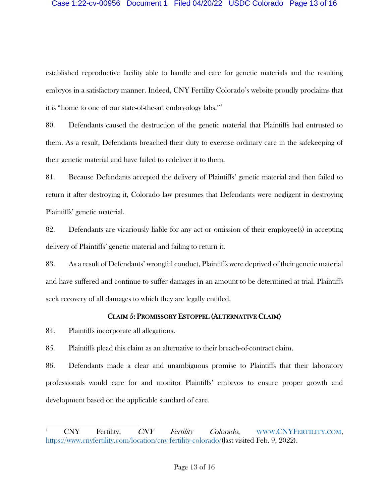#### Case 1:22-cv-00956 Document 1 Filed 04/20/22 USDC Colorado Page 13 of 16

established reproductive facility able to handle and care for genetic materials and the resulting embryos in a satisfactory manner. Indeed, CNY Fertility Colorado's website proudly proclaims that it is "home to one of our state-of-the-art embryology labs."[4](#page-12-0)

80. Defendants caused the destruction of the genetic material that Plaintiffs had entrusted to them. As a result, Defendants breached their duty to exercise ordinary care in the safekeeping of their genetic material and have failed to redeliver it to them.

81. Because Defendants accepted the delivery of Plaintiffs' genetic material and then failed to return it after destroying it, Colorado law presumes that Defendants were negligent in destroying Plaintiffs' genetic material.

82. Defendants are vicariously liable for any act or omission of their employee(s) in accepting delivery of Plaintiffs' genetic material and failing to return it.

83. As a result of Defendants' wrongful conduct, Plaintiffs were deprived of their genetic material and have suffered and continue to suffer damages in an amount to be determined at trial. Plaintiffs seek recovery of all damages to which they are legally entitled.

### CLAIM 5: PROMISSORY ESTOPPEL (ALTERNATIVE CLAIM)

84. Plaintiffs incorporate all allegations.

85. Plaintiffs plead this claim as an alternative to their breach-of-contract claim.

86. Defendants made a clear and unambiguous promise to Plaintiffs that their laboratory professionals would care for and monitor Plaintiffs' embryos to ensure proper growth and development based on the applicable standard of care.

<span id="page-12-0"></span><sup>4</sup> CNY Fertility, CNY Fertility Colorado, [WWW.CNYFERTILITY.COM,](http://www.cnyfertility.com/) [https://www.cnyfertility.com/location/cny-fertility-colorado/\(](https://www.cnyfertility.com/location/cny-fertility-colorado/)last visited Feb. 9, 2022).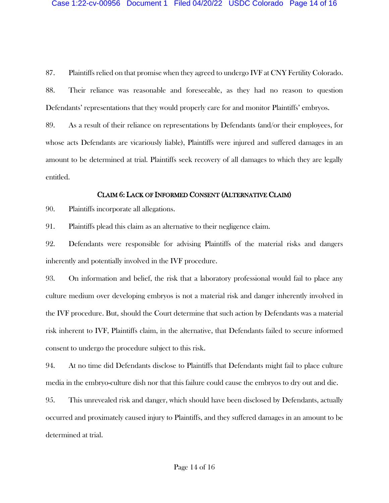87. Plaintiffs relied on that promise when they agreed to undergo IVF at CNY Fertility Colorado.

88. Their reliance was reasonable and foreseeable, as they had no reason to question Defendants' representations that they would properly care for and monitor Plaintiffs' embryos.

89. As a result of their reliance on representations by Defendants (and/or their employees, for whose acts Defendants are vicariously liable), Plaintiffs were injured and suffered damages in an amount to be determined at trial. Plaintiffs seek recovery of all damages to which they are legally entitled.

#### CLAIM 6: LACK OF INFORMED CONSENT (ALTERNATIVE CLAIM)

90. Plaintiffs incorporate all allegations.

91. Plaintiffs plead this claim as an alternative to their negligence claim.

92. Defendants were responsible for advising Plaintiffs of the material risks and dangers inherently and potentially involved in the IVF procedure.

93. On information and belief, the risk that a laboratory professional would fail to place any culture medium over developing embryos is not a material risk and danger inherently involved in the IVF procedure. But, should the Court determine that such action by Defendants was a material risk inherent to IVF, Plaintiffs claim, in the alternative, that Defendants failed to secure informed consent to undergo the procedure subject to this risk.

94. At no time did Defendants disclose to Plaintiffs that Defendants might fail to place culture media in the embryo-culture dish nor that this failure could cause the embryos to dry out and die.

95. This unrevealed risk and danger, which should have been disclosed by Defendants, actually occurred and proximately caused injury to Plaintiffs, and they suffered damages in an amount to be determined at trial.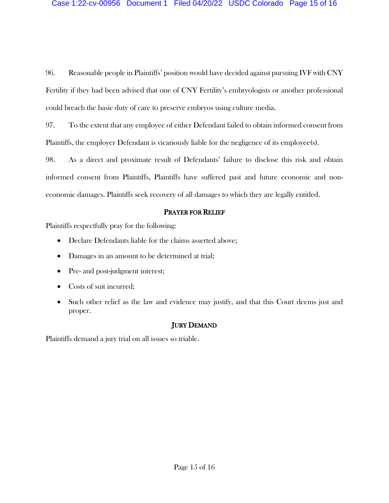96. Reasonable people in Plaintiffs' position would have decided against pursuing IVF with CNY Fertility if they had been advised that one of CNY Fertility's embryologists or another professional could breach the basic duty of care to preserve embryos using culture media.

97. To the extent that any employee of either Defendant failed to obtain informed consent from Plaintiffs, the employer Defendant is vicariously liable for the negligence of its employee(s).

98. As a direct and proximate result of Defendants' failure to disclose this risk and obtain informed consent from Plaintiffs, Plaintiffs have suffered past and future economic and noneconomic damages. Plaintiffs seek recovery of all damages to which they are legally entitled.

### PRAYER FOR RELIEF

Plaintiffs respectfully pray for the following:

- Declare Defendants liable for the claims asserted above;
- Damages in an amount to be determined at trial;
- Pre- and post-judgment interest;
- Costs of suit incurred;
- Such other relief as the law and evidence may justify, and that this Court deems just and proper.

# JURY DEMAND

Plaintiffs demand a jury trial on all issues so triable.